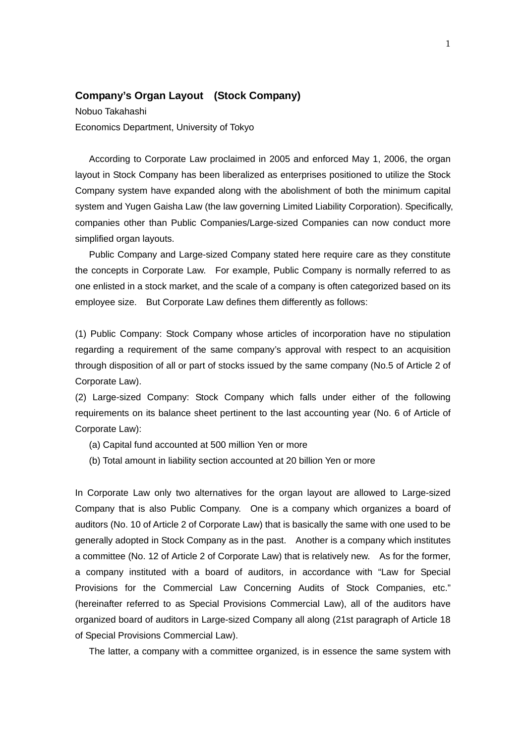## **Company's Organ Layout (Stock Company)**

Nobuo Takahashi Economics Department, University of Tokyo

According to Corporate Law proclaimed in 2005 and enforced May 1, 2006, the organ layout in Stock Company has been liberalized as enterprises positioned to utilize the Stock Company system have expanded along with the abolishment of both the minimum capital system and Yugen Gaisha Law (the law governing Limited Liability Corporation). Specifically, companies other than Public Companies/Large-sized Companies can now conduct more simplified organ layouts.

Public Company and Large-sized Company stated here require care as they constitute the concepts in Corporate Law. For example, Public Company is normally referred to as one enlisted in a stock market, and the scale of a company is often categorized based on its employee size. But Corporate Law defines them differently as follows:

(1) Public Company: Stock Company whose articles of incorporation have no stipulation regarding a requirement of the same company's approval with respect to an acquisition through disposition of all or part of stocks issued by the same company (No.5 of Article 2 of Corporate Law).

(2) Large-sized Company: Stock Company which falls under either of the following requirements on its balance sheet pertinent to the last accounting year (No. 6 of Article of Corporate Law):

- (a) Capital fund accounted at 500 million Yen or more
- (b) Total amount in liability section accounted at 20 billion Yen or more

In Corporate Law only two alternatives for the organ layout are allowed to Large-sized Company that is also Public Company. One is a company which organizes a board of auditors (No. 10 of Article 2 of Corporate Law) that is basically the same with one used to be generally adopted in Stock Company as in the past. Another is a company which institutes a committee (No. 12 of Article 2 of Corporate Law) that is relatively new. As for the former, a company instituted with a board of auditors, in accordance with "Law for Special Provisions for the Commercial Law Concerning Audits of Stock Companies, etc." (hereinafter referred to as Special Provisions Commercial Law), all of the auditors have organized board of auditors in Large-sized Company all along (21st paragraph of Article 18 of Special Provisions Commercial Law).

The latter, a company with a committee organized, is in essence the same system with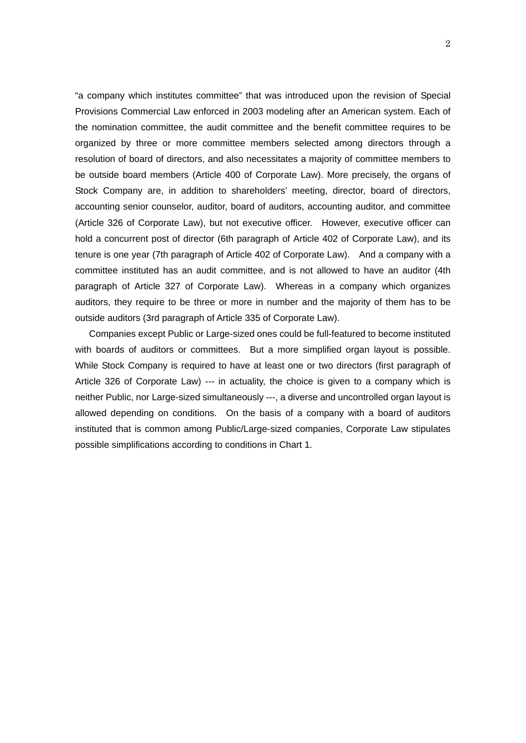"a company which institutes committee" that was introduced upon the revision of Special Provisions Commercial Law enforced in 2003 modeling after an American system. Each of the nomination committee, the audit committee and the benefit committee requires to be organized by three or more committee members selected among directors through a resolution of board of directors, and also necessitates a majority of committee members to be outside board members (Article 400 of Corporate Law). More precisely, the organs of Stock Company are, in addition to shareholders' meeting, director, board of directors, accounting senior counselor, auditor, board of auditors, accounting auditor, and committee (Article 326 of Corporate Law), but not executive officer. However, executive officer can hold a concurrent post of director (6th paragraph of Article 402 of Corporate Law), and its tenure is one year (7th paragraph of Article 402 of Corporate Law). And a company with a committee instituted has an audit committee, and is not allowed to have an auditor (4th paragraph of Article 327 of Corporate Law). Whereas in a company which organizes auditors, they require to be three or more in number and the majority of them has to be outside auditors (3rd paragraph of Article 335 of Corporate Law).

 Companies except Public or Large-sized ones could be full-featured to become instituted with boards of auditors or committees. But a more simplified organ layout is possible. While Stock Company is required to have at least one or two directors (first paragraph of Article 326 of Corporate Law) --- in actuality, the choice is given to a company which is neither Public, nor Large-sized simultaneously ---, a diverse and uncontrolled organ layout is allowed depending on conditions. On the basis of a company with a board of auditors instituted that is common among Public/Large-sized companies, Corporate Law stipulates possible simplifications according to conditions in Chart 1.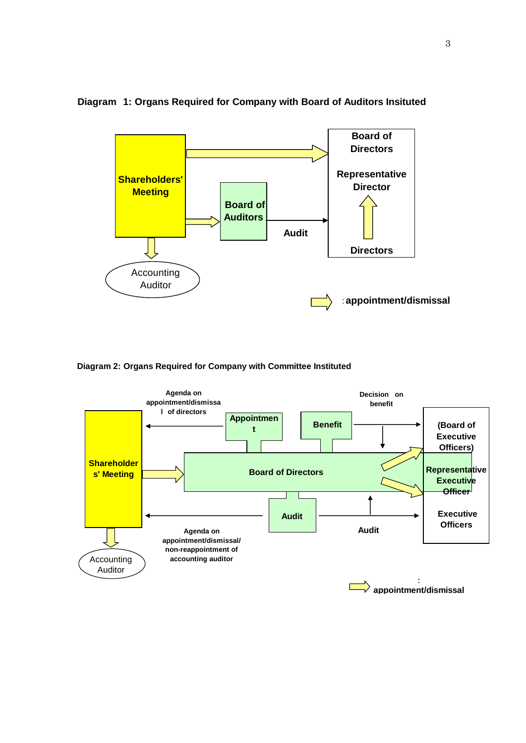

## **Diagram 1: Organs Required for Company with Board of Auditors Insituted**

**Diagram 2: Organs Required for Company with Committee Instituted**